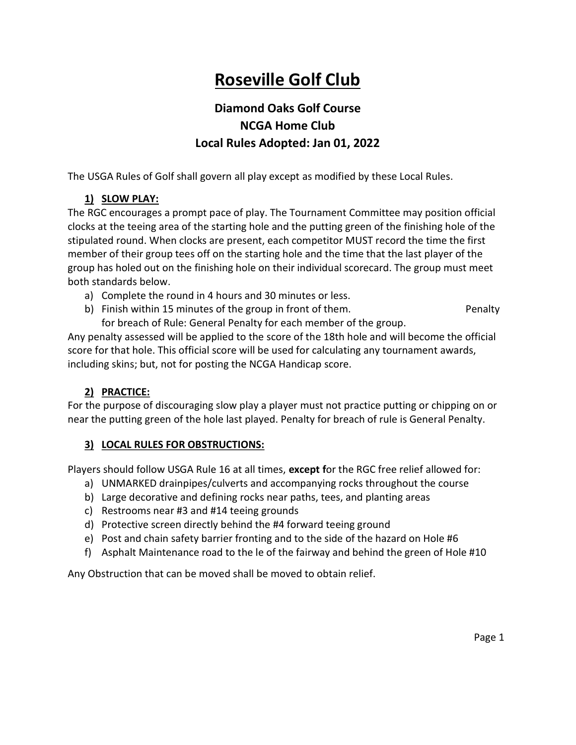# Roseville Golf Club

## Diamond Oaks Golf Course NCGA Home Club Local Rules Adopted: Jan 01, 2022

The USGA Rules of Golf shall govern all play except as modified by these Local Rules.

## 1) SLOW PLAY:

The RGC encourages a prompt pace of play. The Tournament Committee may position official clocks at the teeing area of the starting hole and the putting green of the finishing hole of the stipulated round. When clocks are present, each competitor MUST record the time the first member of their group tees off on the starting hole and the time that the last player of the group has holed out on the finishing hole on their individual scorecard. The group must meet both standards below.

- a) Complete the round in 4 hours and 30 minutes or less.
- b) Finish within 15 minutes of the group in front of them. The endingleness of the penalty for breach of Rule: General Penalty for each member of the group.

Any penalty assessed will be applied to the score of the 18th hole and will become the official score for that hole. This official score will be used for calculating any tournament awards, including skins; but, not for posting the NCGA Handicap score.

#### 2) PRACTICE:

For the purpose of discouraging slow play a player must not practice putting or chipping on or near the putting green of the hole last played. Penalty for breach of rule is General Penalty.

#### 3) LOCAL RULES FOR OBSTRUCTIONS:

Players should follow USGA Rule 16 at all times, except for the RGC free relief allowed for:

- a) UNMARKED drainpipes/culverts and accompanying rocks throughout the course
- b) Large decorative and defining rocks near paths, tees, and planting areas
- c) Restrooms near #3 and #14 teeing grounds
- d) Protective screen directly behind the #4 forward teeing ground
- e) Post and chain safety barrier fronting and to the side of the hazard on Hole #6
- f) Asphalt Maintenance road to the le of the fairway and behind the green of Hole #10

Any Obstruction that can be moved shall be moved to obtain relief.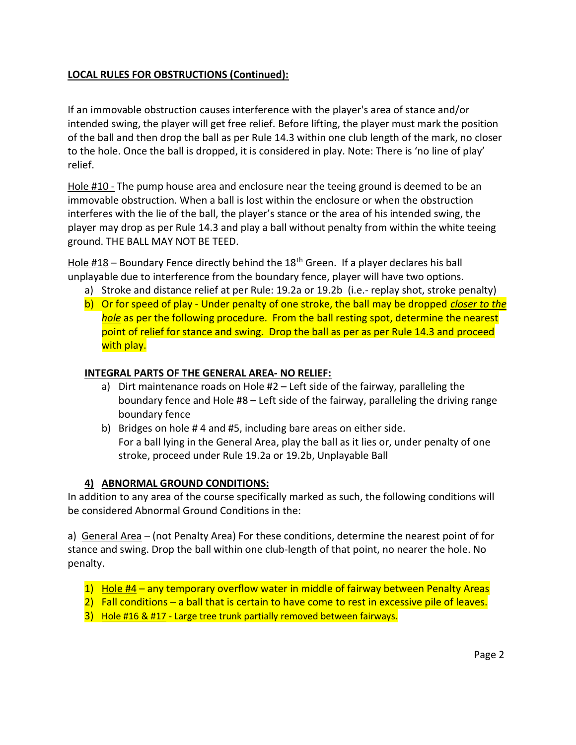## LOCAL RULES FOR OBSTRUCTIONS (Continued):

If an immovable obstruction causes interference with the player's area of stance and/or intended swing, the player will get free relief. Before lifting, the player must mark the position of the ball and then drop the ball as per Rule 14.3 within one club length of the mark, no closer to the hole. Once the ball is dropped, it is considered in play. Note: There is 'no line of play' relief.

Hole #10 - The pump house area and enclosure near the teeing ground is deemed to be an immovable obstruction. When a ball is lost within the enclosure or when the obstruction interferes with the lie of the ball, the player's stance or the area of his intended swing, the player may drop as per Rule 14.3 and play a ball without penalty from within the white teeing ground. THE BALL MAY NOT BE TEED.

Hole  $\#18$  – Boundary Fence directly behind the  $18<sup>th</sup>$  Green. If a player declares his ball unplayable due to interference from the boundary fence, player will have two options.

- a) Stroke and distance relief at per Rule: 19.2a or 19.2b (i.e.- replay shot, stroke penalty)
- b) Or for speed of play Under penalty of one stroke, the ball may be dropped *closer to the* hole as per the following procedure. From the ball resting spot, determine the nearest point of relief for stance and swing. Drop the ball as per as per Rule 14.3 and proceed with play.

#### INTEGRAL PARTS OF THE GENERAL AREA- NO RELIEF:

- a) Dirt maintenance roads on Hole #2 Left side of the fairway, paralleling the boundary fence and Hole #8 – Left side of the fairway, paralleling the driving range boundary fence
- b) Bridges on hole # 4 and #5, including bare areas on either side. For a ball lying in the General Area, play the ball as it lies or, under penalty of one stroke, proceed under Rule 19.2a or 19.2b, Unplayable Ball

#### 4) ABNORMAL GROUND CONDITIONS:

In addition to any area of the course specifically marked as such, the following conditions will be considered Abnormal Ground Conditions in the:

a) General Area – (not Penalty Area) For these conditions, determine the nearest point of for stance and swing. Drop the ball within one club-length of that point, no nearer the hole. No penalty.

- 1) Hole #4 any temporary overflow water in middle of fairway between Penalty Areas
- 2) Fall conditions a ball that is certain to have come to rest in excessive pile of leaves.
- 3) Hole #16 & #17 Large tree trunk partially removed between fairways.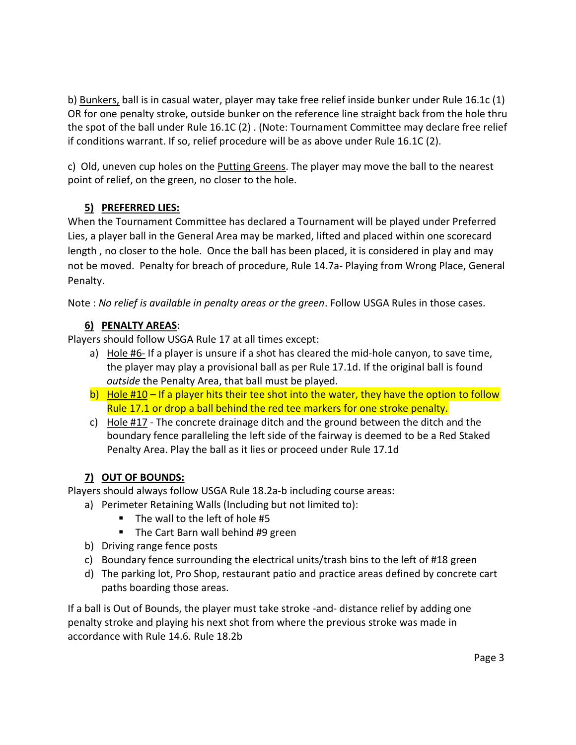b) Bunkers, ball is in casual water, player may take free relief inside bunker under Rule 16.1c (1) OR for one penalty stroke, outside bunker on the reference line straight back from the hole thru the spot of the ball under Rule 16.1C (2) . (Note: Tournament Committee may declare free relief if conditions warrant. If so, relief procedure will be as above under Rule 16.1C (2).

c) Old, uneven cup holes on the Putting Greens. The player may move the ball to the nearest point of relief, on the green, no closer to the hole.

## 5) PREFERRED LIES:

When the Tournament Committee has declared a Tournament will be played under Preferred Lies, a player ball in the General Area may be marked, lifted and placed within one scorecard length , no closer to the hole. Once the ball has been placed, it is considered in play and may not be moved. Penalty for breach of procedure, Rule 14.7a- Playing from Wrong Place, General Penalty.

Note : No relief is available in penalty areas or the green. Follow USGA Rules in those cases.

## 6) PENALTY AREAS:

Players should follow USGA Rule 17 at all times except:

- a) Hole #6- If a player is unsure if a shot has cleared the mid-hole canyon, to save time, the player may play a provisional ball as per Rule 17.1d. If the original ball is found outside the Penalty Area, that ball must be played.
- b) Hole #10 If a player hits their tee shot into the water, they have the option to follow Rule 17.1 or drop a ball behind the red tee markers for one stroke penalty.
- c) Hole  $#17$  The concrete drainage ditch and the ground between the ditch and the boundary fence paralleling the left side of the fairway is deemed to be a Red Staked Penalty Area. Play the ball as it lies or proceed under Rule 17.1d

## 7) OUT OF BOUNDS:

Players should always follow USGA Rule 18.2a-b including course areas:

- a) Perimeter Retaining Walls (Including but not limited to):
	- $\blacksquare$  The wall to the left of hole #5
	- **The Cart Barn wall behind #9 green**
- b) Driving range fence posts
- c) Boundary fence surrounding the electrical units/trash bins to the left of #18 green
- d) The parking lot, Pro Shop, restaurant patio and practice areas defined by concrete cart paths boarding those areas.

If a ball is Out of Bounds, the player must take stroke -and- distance relief by adding one penalty stroke and playing his next shot from where the previous stroke was made in accordance with Rule 14.6. Rule 18.2b